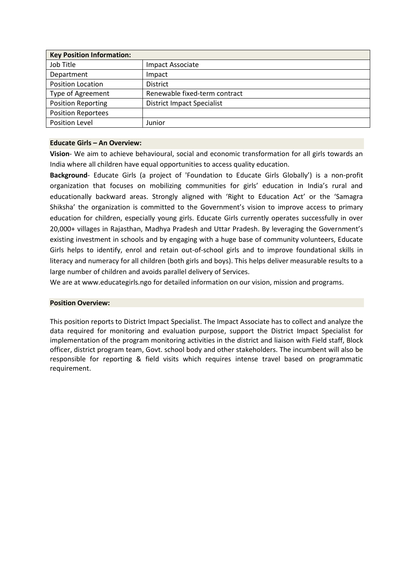| <b>Key Position Information:</b> |                                   |
|----------------------------------|-----------------------------------|
| Job Title                        | Impact Associate                  |
| Department                       | Impact                            |
| <b>Position Location</b>         | <b>District</b>                   |
| Type of Agreement                | Renewable fixed-term contract     |
| <b>Position Reporting</b>        | <b>District Impact Specialist</b> |
| <b>Position Reportees</b>        |                                   |
| <b>Position Level</b>            | Junior                            |

#### **Educate Girls – An Overview:**

**Vision**- We aim to achieve behavioural, social and economic transformation for all girls towards an India where all children have equal opportunities to access quality education.

**Background**- Educate Girls (a project of 'Foundation to Educate Girls Globally') is a non-profit organization that focuses on mobilizing communities for girls' education in India's rural and educationally backward areas. Strongly aligned with 'Right to Education Act' or the 'Samagra Shiksha' the organization is committed to the Government's vision to improve access to primary education for children, especially young girls. Educate Girls currently operates successfully in over 20,000+ villages in Rajasthan, Madhya Pradesh and Uttar Pradesh. By leveraging the Government's existing investment in schools and by engaging with a huge base of community volunteers, Educate Girls helps to identify, enrol and retain out-of-school girls and to improve foundational skills in literacy and numeracy for all children (both girls and boys). This helps deliver measurable results to a large number of children and avoids parallel delivery of Services.

We are at www.educategirls.ngo for detailed information on our vision, mission and programs.

## **Position Overview:**

This position reports to District Impact Specialist. The Impact Associate has to collect and analyze the data required for monitoring and evaluation purpose, support the District Impact Specialist for implementation of the program monitoring activities in the district and liaison with Field staff, Block officer, district program team, Govt. school body and other stakeholders. The incumbent will also be responsible for reporting & field visits which requires intense travel based on programmatic requirement.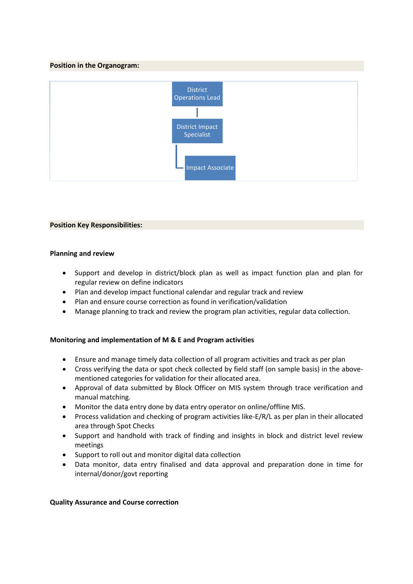### **Position in the Organogram:**



#### **Position Key Responsibilities:**

#### **Planning and review**

- Support and develop in district/block plan as well as impact function plan and plan for regular review on define indicators
- Plan and develop impact functional calendar and regular track and review
- Plan and ensure course correction as found in verification/validation
- Manage planning to track and review the program plan activities, regular data collection.

## **Monitoring and implementation of M & E and Program activities**

- Ensure and manage timely data collection of all program activities and track as per plan
- Cross verifying the data or spot check collected by field staff (on sample basis) in the abovementioned categories for validation for their allocated area.
- Approval of data submitted by Block Officer on MIS system through trace verification and manual matching.
- Monitor the data entry done by data entry operator on online/offline MIS.
- Process validation and checking of program activities like-E/R/L as per plan in their allocated area through Spot Checks
- Support and handhold with track of finding and insights in block and district level review meetings
- Support to roll out and monitor digital data collection
- Data monitor, data entry finalised and data approval and preparation done in time for internal/donor/govt reporting

#### **Quality Assurance and Course correction**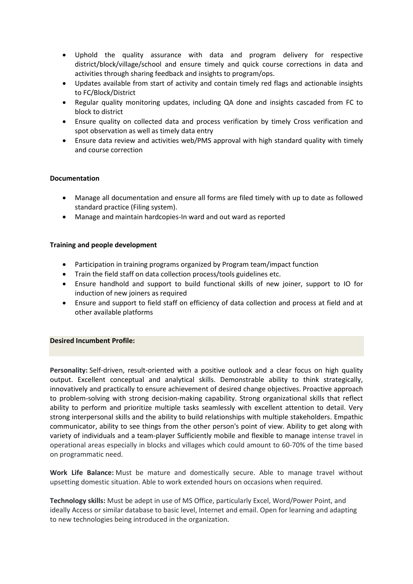- Uphold the quality assurance with data and program delivery for respective district/block/village/school and ensure timely and quick course corrections in data and activities through sharing feedback and insights to program/ops.
- Updates available from start of activity and contain timely red flags and actionable insights to FC/Block/District
- Regular quality monitoring updates, including QA done and insights cascaded from FC to block to district
- Ensure quality on collected data and process verification by timely Cross verification and spot observation as well as timely data entry
- Ensure data review and activities web/PMS approval with high standard quality with timely and course correction

## **Documentation**

- Manage all documentation and ensure all forms are filed timely with up to date as followed standard practice (Filing system).
- Manage and maintain hardcopies-In ward and out ward as reported

## **Training and people development**

- Participation in training programs organized by Program team/impact function
- Train the field staff on data collection process/tools guidelines etc.
- Ensure handhold and support to build functional skills of new joiner, support to IO for induction of new joiners as required
- Ensure and support to field staff on efficiency of data collection and process at field and at other available platforms

## **Desired Incumbent Profile:**

**Personality:** Self-driven, result-oriented with a positive outlook and a clear focus on high quality output. Excellent conceptual and analytical skills. Demonstrable ability to think strategically, innovatively and practically to ensure achievement of desired change objectives. Proactive approach to problem-solving with strong decision-making capability. Strong organizational skills that reflect ability to perform and prioritize multiple tasks seamlessly with excellent attention to detail. Very strong interpersonal skills and the ability to build relationships with multiple stakeholders. Empathic communicator, ability to see things from the other person's point of view. Ability to get along with variety of individuals and a team-player Sufficiently mobile and flexible to manage intense travel in operational areas especially in blocks and villages which could amount to 60-70% of the time based on programmatic need.

**Work Life Balance:** Must be mature and domestically secure. Able to manage travel without upsetting domestic situation. Able to work extended hours on occasions when required.

**Technology skills:** Must be adept in use of MS Office, particularly Excel, Word/Power Point, and ideally Access or similar database to basic level, Internet and email. Open for learning and adapting to new technologies being introduced in the organization.